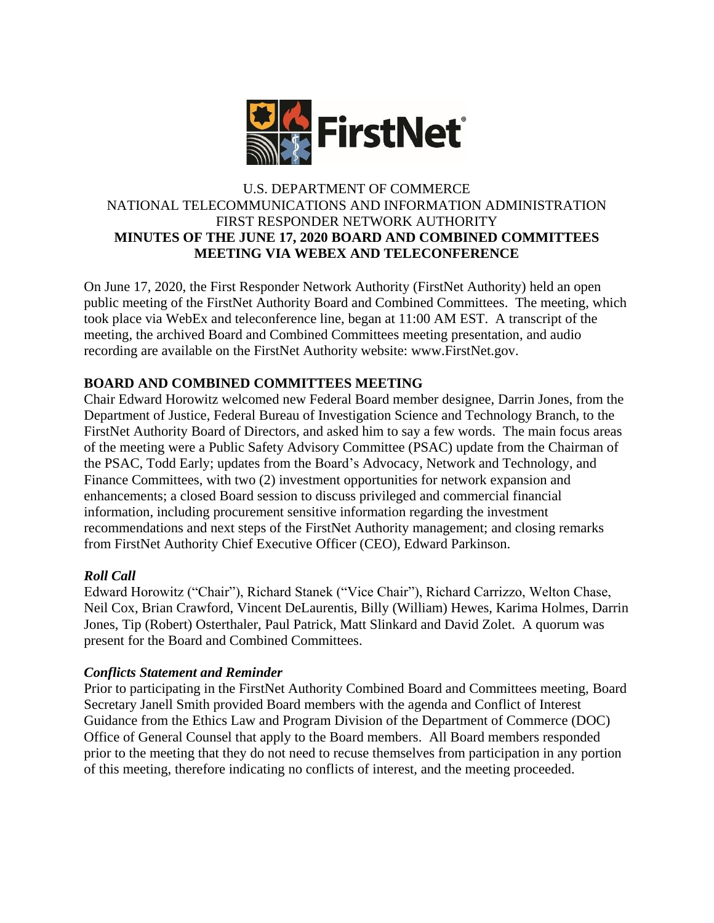

### U.S. DEPARTMENT OF COMMERCE NATIONAL TELECOMMUNICATIONS AND INFORMATION ADMINISTRATION FIRST RESPONDER NETWORK AUTHORITY **MINUTES OF THE JUNE 17, 2020 BOARD AND COMBINED COMMITTEES MEETING VIA WEBEX AND TELECONFERENCE**

On June 17, 2020, the First Responder Network Authority (FirstNet Authority) held an open public meeting of the FirstNet Authority Board and Combined Committees. The meeting, which took place via WebEx and teleconference line, began at 11:00 AM EST. A transcript of the meeting, the archived Board and Combined Committees meeting presentation, and audio recording are available on the FirstNet Authority website: www.FirstNet.gov.

# **BOARD AND COMBINED COMMITTEES MEETING**

Chair Edward Horowitz welcomed new Federal Board member designee, Darrin Jones, from the Department of Justice, Federal Bureau of Investigation Science and Technology Branch, to the FirstNet Authority Board of Directors, and asked him to say a few words. The main focus areas of the meeting were a Public Safety Advisory Committee (PSAC) update from the Chairman of the PSAC, Todd Early; updates from the Board's Advocacy, Network and Technology, and Finance Committees, with two (2) investment opportunities for network expansion and enhancements; a closed Board session to discuss privileged and commercial financial information, including procurement sensitive information regarding the investment recommendations and next steps of the FirstNet Authority management; and closing remarks from FirstNet Authority Chief Executive Officer (CEO), Edward Parkinson.

## *Roll Call*

Edward Horowitz ("Chair"), Richard Stanek ("Vice Chair"), Richard Carrizzo, Welton Chase, Neil Cox, Brian Crawford, Vincent DeLaurentis, Billy (William) Hewes, Karima Holmes, Darrin Jones, Tip (Robert) Osterthaler, Paul Patrick, Matt Slinkard and David Zolet. A quorum was present for the Board and Combined Committees.

## *Conflicts Statement and Reminder*

Prior to participating in the FirstNet Authority Combined Board and Committees meeting, Board Secretary Janell Smith provided Board members with the agenda and Conflict of Interest Guidance from the Ethics Law and Program Division of the Department of Commerce (DOC) Office of General Counsel that apply to the Board members. All Board members responded prior to the meeting that they do not need to recuse themselves from participation in any portion of this meeting, therefore indicating no conflicts of interest, and the meeting proceeded.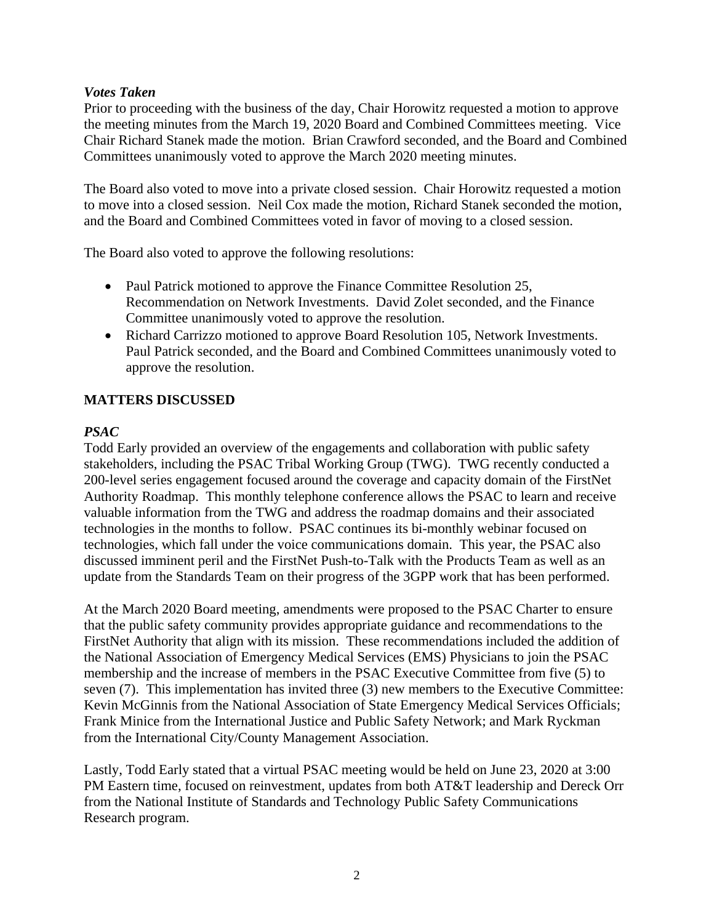### *Votes Taken*

Prior to proceeding with the business of the day, Chair Horowitz requested a motion to approve the meeting minutes from the March 19, 2020 Board and Combined Committees meeting. Vice Chair Richard Stanek made the motion. Brian Crawford seconded, and the Board and Combined Committees unanimously voted to approve the March 2020 meeting minutes.

The Board also voted to move into a private closed session. Chair Horowitz requested a motion to move into a closed session. Neil Cox made the motion, Richard Stanek seconded the motion, and the Board and Combined Committees voted in favor of moving to a closed session.

The Board also voted to approve the following resolutions:

- Paul Patrick motioned to approve the Finance Committee Resolution 25, Recommendation on Network Investments. David Zolet seconded, and the Finance Committee unanimously voted to approve the resolution.
- Richard Carrizzo motioned to approve Board Resolution 105, Network Investments. Paul Patrick seconded, and the Board and Combined Committees unanimously voted to approve the resolution.

## **MATTERS DISCUSSED**

### *PSAC*

Todd Early provided an overview of the engagements and collaboration with public safety stakeholders, including the PSAC Tribal Working Group (TWG). TWG recently conducted a 200-level series engagement focused around the coverage and capacity domain of the FirstNet Authority Roadmap. This monthly telephone conference allows the PSAC to learn and receive valuable information from the TWG and address the roadmap domains and their associated technologies in the months to follow. PSAC continues its bi-monthly webinar focused on technologies, which fall under the voice communications domain. This year, the PSAC also discussed imminent peril and the FirstNet Push-to-Talk with the Products Team as well as an update from the Standards Team on their progress of the 3GPP work that has been performed.

At the March 2020 Board meeting, amendments were proposed to the PSAC Charter to ensure that the public safety community provides appropriate guidance and recommendations to the FirstNet Authority that align with its mission. These recommendations included the addition of the National Association of Emergency Medical Services (EMS) Physicians to join the PSAC membership and the increase of members in the PSAC Executive Committee from five (5) to seven (7). This implementation has invited three (3) new members to the Executive Committee: Kevin McGinnis from the National Association of State Emergency Medical Services Officials; Frank Minice from the International Justice and Public Safety Network; and Mark Ryckman from the International City/County Management Association.

Lastly, Todd Early stated that a virtual PSAC meeting would be held on June 23, 2020 at 3:00 PM Eastern time, focused on reinvestment, updates from both AT&T leadership and Dereck Orr from the National Institute of Standards and Technology Public Safety Communications Research program.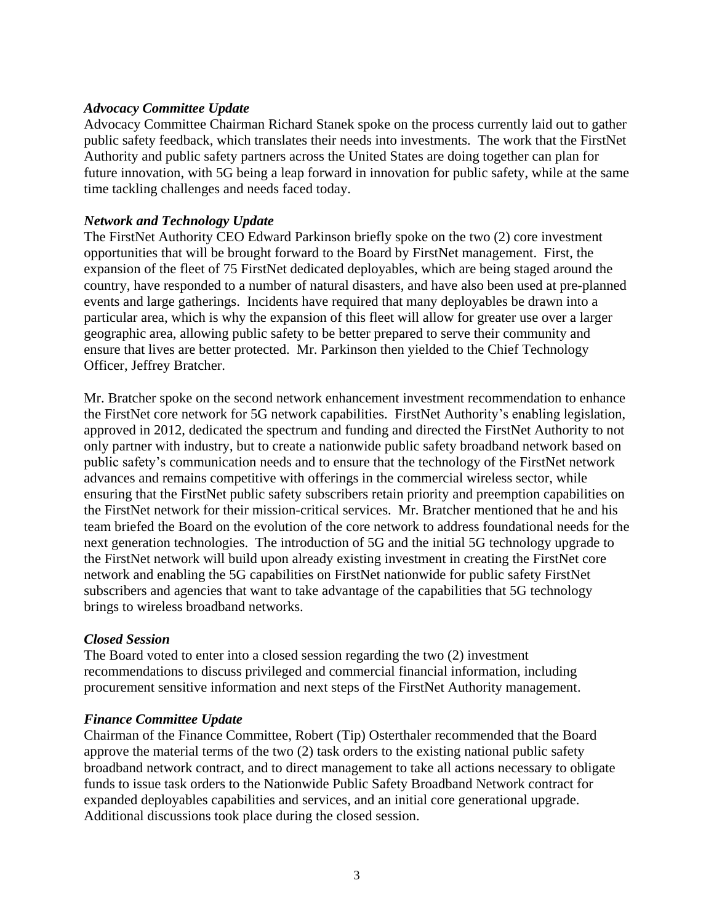#### *Advocacy Committee Update*

Advocacy Committee Chairman Richard Stanek spoke on the process currently laid out to gather public safety feedback, which translates their needs into investments. The work that the FirstNet Authority and public safety partners across the United States are doing together can plan for future innovation, with 5G being a leap forward in innovation for public safety, while at the same time tackling challenges and needs faced today.

### *Network and Technology Update*

The FirstNet Authority CEO Edward Parkinson briefly spoke on the two (2) core investment opportunities that will be brought forward to the Board by FirstNet management. First, the expansion of the fleet of 75 FirstNet dedicated deployables, which are being staged around the country, have responded to a number of natural disasters, and have also been used at pre-planned events and large gatherings. Incidents have required that many deployables be drawn into a particular area, which is why the expansion of this fleet will allow for greater use over a larger geographic area, allowing public safety to be better prepared to serve their community and ensure that lives are better protected. Mr. Parkinson then yielded to the Chief Technology Officer, Jeffrey Bratcher.

Mr. Bratcher spoke on the second network enhancement investment recommendation to enhance the FirstNet core network for 5G network capabilities. FirstNet Authority's enabling legislation, approved in 2012, dedicated the spectrum and funding and directed the FirstNet Authority to not only partner with industry, but to create a nationwide public safety broadband network based on public safety's communication needs and to ensure that the technology of the FirstNet network advances and remains competitive with offerings in the commercial wireless sector, while ensuring that the FirstNet public safety subscribers retain priority and preemption capabilities on the FirstNet network for their mission-critical services. Mr. Bratcher mentioned that he and his team briefed the Board on the evolution of the core network to address foundational needs for the next generation technologies. The introduction of 5G and the initial 5G technology upgrade to the FirstNet network will build upon already existing investment in creating the FirstNet core network and enabling the 5G capabilities on FirstNet nationwide for public safety FirstNet subscribers and agencies that want to take advantage of the capabilities that 5G technology brings to wireless broadband networks.

#### *Closed Session*

The Board voted to enter into a closed session regarding the two (2) investment recommendations to discuss privileged and commercial financial information, including procurement sensitive information and next steps of the FirstNet Authority management.

#### *Finance Committee Update*

Chairman of the Finance Committee, Robert (Tip) Osterthaler recommended that the Board approve the material terms of the two (2) task orders to the existing national public safety broadband network contract, and to direct management to take all actions necessary to obligate funds to issue task orders to the Nationwide Public Safety Broadband Network contract for expanded deployables capabilities and services, and an initial core generational upgrade. Additional discussions took place during the closed session.